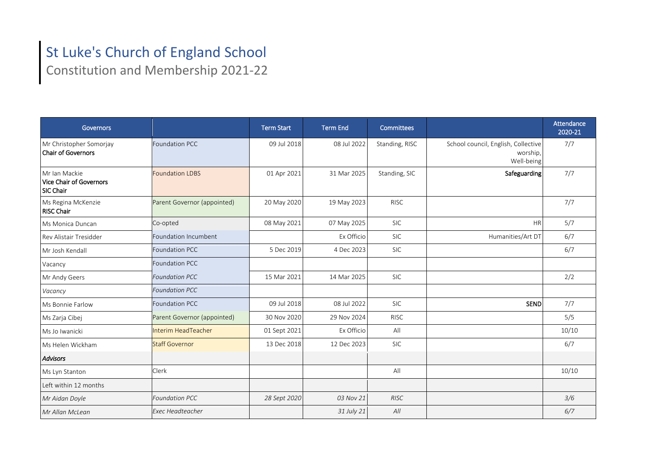## St Luke's Church of England School

Constitution and Membership 2021-22

| <b>Governors</b>                                      |                             | <b>Term Start</b> | <b>Term End</b> | <b>Committees</b> |                                                               | Attendance<br>2020-21 |
|-------------------------------------------------------|-----------------------------|-------------------|-----------------|-------------------|---------------------------------------------------------------|-----------------------|
| Mr Christopher Somorjay<br>Chair of Governors         | <b>Foundation PCC</b>       | 09 Jul 2018       | 08 Jul 2022     | Standing, RISC    | School council, English, Collective<br>worship,<br>Well-being | 7/7                   |
| Mr Ian Mackie<br>Vice Chair of Governors<br>SIC Chair | <b>Foundation LDBS</b>      | 01 Apr 2021       | 31 Mar 2025     | Standing, SIC     | Safeguarding                                                  | 7/7                   |
| Ms Regina McKenzie<br><b>RISC Chair</b>               | Parent Governor (appointed) | 20 May 2020       | 19 May 2023     | <b>RISC</b>       |                                                               | 7/7                   |
| Ms Monica Duncan                                      | Co-opted                    | 08 May 2021       | 07 May 2025     | <b>SIC</b>        | <b>HR</b>                                                     | 5/7                   |
| <b>Rev Alistair Tresidder</b>                         | Foundation Incumbent        |                   | Ex Officio      | <b>SIC</b>        | Humanities/Art DT                                             | 6/7                   |
| Mr Josh Kendall                                       | <b>Foundation PCC</b>       | 5 Dec 2019        | 4 Dec 2023      | <b>SIC</b>        |                                                               | 6/7                   |
| Vacancy                                               | <b>Foundation PCC</b>       |                   |                 |                   |                                                               |                       |
| Mr Andy Geers                                         | <b>Foundation PCC</b>       | 15 Mar 2021       | 14 Mar 2025     | <b>SIC</b>        |                                                               | 2/2                   |
| Vacancy                                               | <b>Foundation PCC</b>       |                   |                 |                   |                                                               |                       |
| Ms Bonnie Farlow                                      | <b>Foundation PCC</b>       | 09 Jul 2018       | 08 Jul 2022     | <b>SIC</b>        | <b>SEND</b>                                                   | 7/7                   |
| Ms Zarja Cibej                                        | Parent Governor (appointed) | 30 Nov 2020       | 29 Nov 2024     | <b>RISC</b>       |                                                               | 5/5                   |
| Ms Jo Iwanicki                                        | Interim HeadTeacher         | 01 Sept 2021      | Ex Officio      | All               |                                                               | 10/10                 |
| Ms Helen Wickham                                      | <b>Staff Governor</b>       | 13 Dec 2018       | 12 Dec 2023     | <b>SIC</b>        |                                                               | 6/7                   |
| Advisors                                              |                             |                   |                 |                   |                                                               |                       |
| Ms Lyn Stanton                                        | Clerk                       |                   |                 | All               |                                                               | 10/10                 |
| Left within 12 months                                 |                             |                   |                 |                   |                                                               |                       |
| Mr Aidan Doyle                                        | <b>Foundation PCC</b>       | 28 Sept 2020      | 03 Nov 21       | <b>RISC</b>       |                                                               | 3/6                   |
| Mr Allan McLean                                       | <b>Exec Headteacher</b>     |                   | 31 July 21      | All               |                                                               | 6/7                   |